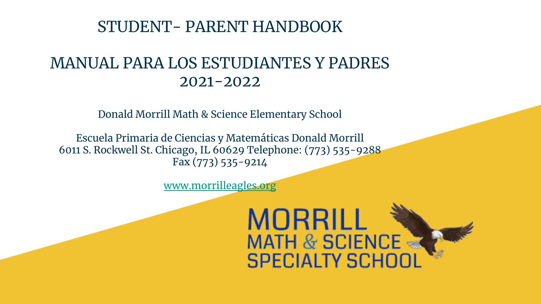### STUDENT- PARENT HANDBOOK

### MANUAL PARA LOS ESTUDIANTES Y PADRES 2021-2022

Donald Morrill Math & Science Elementary School

Escuela Primaria de Ciencias y Matemáticas Donald Morrill 6011 S. Rockwell St. Chicago, IL 60629 Telephone: (773) 535-9288 Fax (773) 535-9214

[www.morrilleagles.org](http://www.morrilleagles.org)

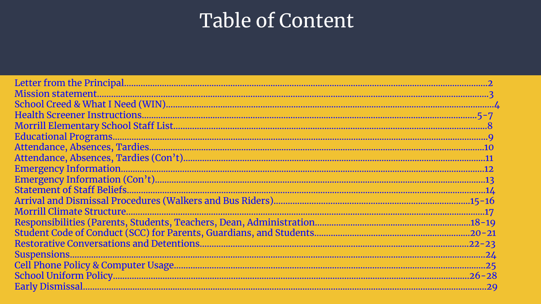# Table of Content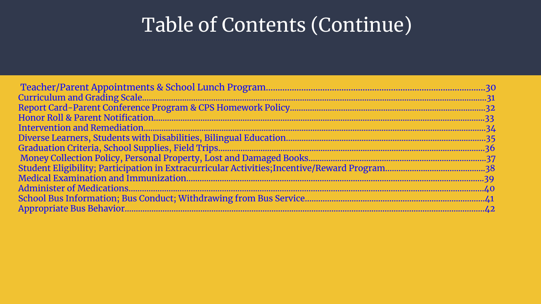# Table of Contents (Continue)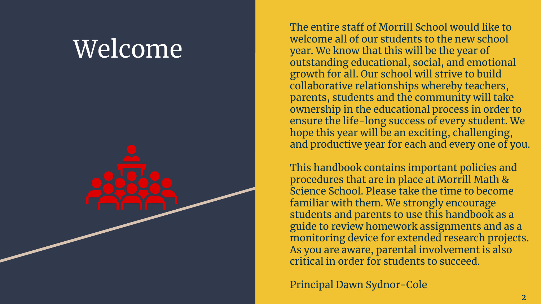# Welcome

The entire staff of Morrill School would like to welcome all of our students to the new school year. We know that this will be the year of outstanding educational, social, and emotional growth for all. Our school will strive to build collaborative relationships whereby teachers, parents, students and the community will take ownership in the educational process in order to ensure the life-long success of every student. We hope this year will be an exciting, challenging, and productive year for each and every one of you.

This handbook contains important policies and procedures that are in place at Morrill Math & Science School. Please take the time to become familiar with them. We strongly encourage students and parents to use this handbook as a guide to review homework assignments and as a monitoring device for extended research projects. As you are aware, parental involvement is also critical in order for students to succeed.

Principal Dawn Sydnor-Cole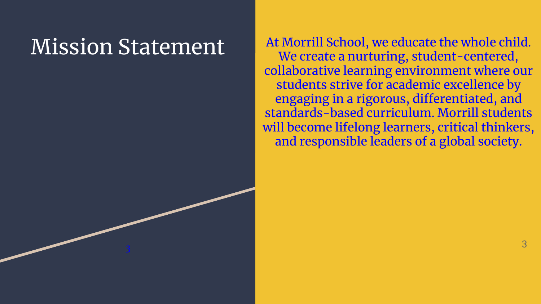# Mission Statement

أمسحتهم

3

At Morrill School, we educate the whole child. We create a nurturing, student-centered, collaborative learning environment where our students strive for academic excellence by engaging in a rigorous, differentiated, and standards-based curriculum. Morrill students will become lifelong learners, critical thinkers, and responsible leaders of a global society.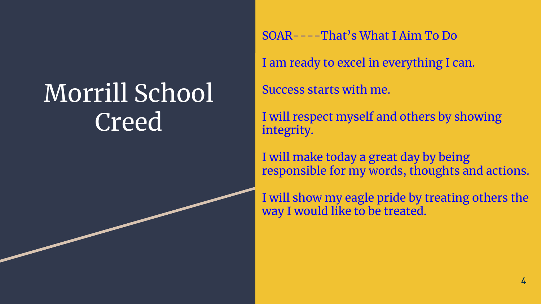# Morrill School Creed

SOAR----That's What I Aim To Do

I am ready to excel in everything I can.

Success starts with me.

I will respect myself and others by showing integrity.

I will make today a great day by being responsible for my words, thoughts and actions.

I will show my eagle pride by treating others the way I would like to be treated.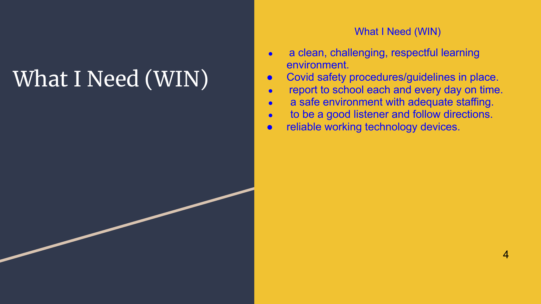# What I Need (WIN)

### What I Need (WIN)

- a clean, challenging, respectful learning environment.
- Covid safety procedures/guidelines in place.
- report to school each and every day on time.
- a safe environment with adequate staffing.
- to be a good listener and follow directions.
- reliable working technology devices.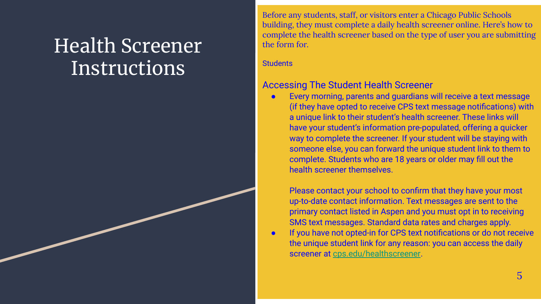# Health Screener **Instructions**

Before any students, staff, or visitors enter a Chicago Public Schools building, they must complete a [daily health screener](http://www.cps.edu/healthscreener) online. Here's how to complete the health screener based on the type of user you are submitting the form for.

**Students** 

### Accessing The Student Health Screener

Every morning, parents and guardians will receive a text message (if they have opted to receive CPS text message notifications) with a unique link to their student's health screener. These links will have your student's information pre-populated, offering a quicker way to complete the screener. If your student will be staying with someone else, you can forward the unique student link to them to complete. Students who are 18 years or older may fill out the health screener themselves.

Please contact your school to confirm that they have your most up-to-date contact information. Text messages are sent to the primary contact listed in Aspen and you must opt in to receiving SMS text messages. Standard data rates and charges apply.

If you have not opted-in for CPS text notifications or do not receive the unique student link for any reason: you can access the daily screener at [cps.edu/healthscreener.](https://chicagopsprod.service-now.com/health)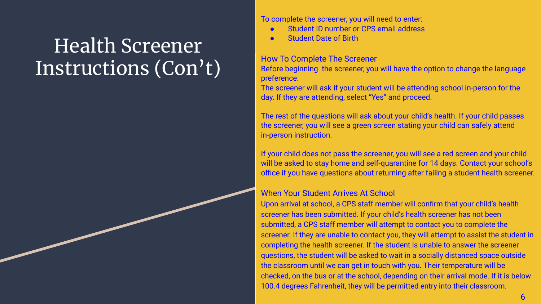# Health Screener Instructions (Con't)

To complete the screener, you will need to enter:

- Student ID number or CPS email address
- **Student Date of Birth**

### How To Complete The Screener

Before beginning the screener, you will have the option to change the language preference.

The screener will ask if your student will be attending school in-person for the day. If they are attending, select "Yes" and proceed.

The rest of the questions will ask about your child's health. If your child passes the screener, you will see a green screen stating your child can safely attend in-person instruction.

If your child does not pass the screener, you will see a red screen and your child will be asked to stay home and self-quarantine for 14 days. Contact your school's office if you have questions about returning after failing a student health screener.

### When Your Student Arrives At School

Upon arrival at school, a CPS staff member will confirm that your child's health screener has been submitted. If your child's health screener has not been submitted, a CPS staff member will attempt to contact you to complete the screener. If they are unable to contact you, they will attempt to assist the student in completing the health screener. If the student is unable to answer the screener questions, the student will be asked to wait in a socially distanced space outside the classroom until we can get in touch with you. Their temperature will be checked, on the bus or at the school, depending on their arrival mode. If it is below 100.4 degrees Fahrenheit, they will be permitted entry into their classroom.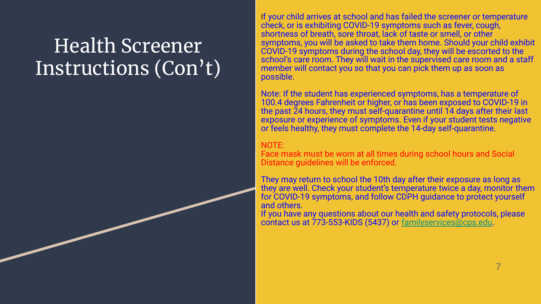# Health Screener Instructions (Con't)

If your child arrives at school and has failed the screener or temperature check, or is exhibiting COVID-19 symptoms such as fever, cough, shortness of breath, sore throat, lack of taste or smell, or other symptoms, you will be asked to take them home. Should your child exhibit COVID-19 symptoms during the school day, they will be escorted to the school's care room. They will wait in the supervised care room and a staff member will contact you so that you can pick them up as soon as possible.

Note: If the student has experienced symptoms, has a temperature of 100.4 degrees Fahrenheit or higher, or has been exposed to COVID-19 in the past 24 hours, they must self-quarantine until 14 days after their last exposure or experience of symptoms. Even if your student tests negative or feels healthy, they must complete the 14-day self-quarantine.

### NOTE:

Face mask must be worn at all times during school hours and Social Distance guidelines will be enforced.

They may return to school the 10th day after their exposure as long as they are well. Check your student's temperature twice a day, monitor them for COVID-19 symptoms, and follow [CDPH guidance](https://www.chicago.gov/city/en/sites/covid-19/home/latest-guidance.html) to protect yourself and others.

If you have any questions about our health and safety protocols, please contact us at 773-553-KIDS (5437) or [familyservices@cps.edu](mailto:familyservices@cps.edu).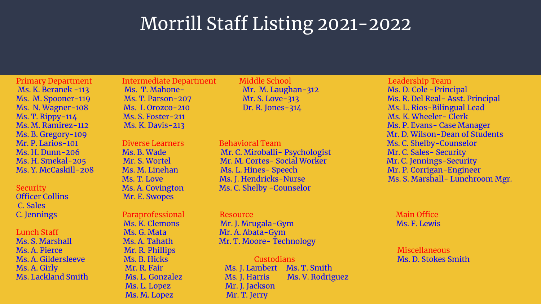### Morrill Staff Listing 2021-2022

C. Sales

Ms. A. Pierce Mr. R. Phillips Miscellaneous Mr. R. Phillips Miscellaneous Miscellaneous

Ms. K. Beranek -113 Ms. T. Mahone- Mr. M. Laughan-312 Ms. D. Cole -Principal

Security Ms. A. Covington Ms. C. Shelby -Counselor<br>
Mr. E. Swopes Mr. E. Swopes

 Ms. L. Lopez Mr. J. Jackson Ms. M. Lopez Mr. T. Jerry

Primary Department Intermediate Department Middle School Leadership Team

Ms. H. Dunn-206 Ms. B. Wade Mr. C. Miroballi- Psychologist Mr. C. Sales- Security Ms. H. Smekal-205 Mr. S. Wortel Mr. M. Cortes- Social Worker Mr. C. Jennings-Security Ms. Y. McCaskill-208 Ms. M. Linehan Ms. L. Hines- Speech Ms. Minimum Mr. P. Corrigan-Engineer

**C. Jennings C. Paraprofessional Resource Main Office Main Office** Main Office Ms. K. Clemons Mr. J. Mrugala-Gym Ms. F. Lewis Lunch Staff Mathematic Ms. G. Mata Mr. A. Abata-Gym Ms. S. Marshall Ms. A. Tahath Mr. T. Moore- Technology

Ms. A. Gildersleeve Ms. B. Hicks Custodians Ms. D. Stokes Smith Ms. A. Girly **Mr. A. Fair** Ms. J. Lambert Ms. T. Smith Ms. Lackland Smith Ms. L. Gonzalez Ms. J. Harris Ms. V. Rodriguez

Ms. M. Spooner-119 Ms. T. Parson-207 Mr. S. Love-313 Ms. R. Del Real- Asst. Principal Ms. N. Wagner-108 Ms. I. Orozco-210 Dr. R. Jones-314 Ms. L. Rios-Bilingual Lead Ms. T. Rippy-114 Ms. S. Foster-211 Ms. K. Wheeler- Clerk Ms. M. Ramirez-112 Ms. K. Davis-213 Ms. P. Evans- Case Manager Ms. B. Gregory-109 Mr. D. Wilson-Dean of Students Mr. P. Larios-101 Diverse Learners Behavioral Team Ms. C. Shelby-Counselor Ms. T. Love Ms. J. Hendricks-Nurse Ms. Mas. S. Marshall- Lunchroom Mgr.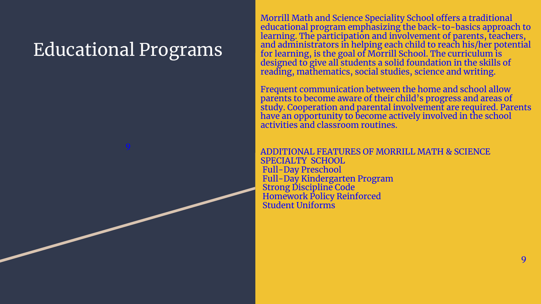## Educational Programs

9

Morrill Math and Science Speciality School offers a traditional educational program emphasizing the back-to-basics approach to learning. The participation and involvement of parents, teachers, and administrators in helping each child to reach his/her potential for learning, is the goal of Morrill School. The curriculum is designed to give all students a solid foundation in the skills of reading, mathematics, social studies, science and writing.

Frequent communication between the home and school allow parents to become aware of their child's progress and areas of study. Cooperation and parental involvement are required. Parents have an opportunity to become actively involved in the school activities and classroom routines.

e de la construcción de la construcción de la construcción de la construcción de la construcción de la constru

ADDITIONAL FEATURES OF MORRILL MATH & SCIENCE SPECIALTY SCHOOL Full-Day Preschool Full-Day Kindergarten Program Strong Discipline Code Homework Policy Reinforced Student Uniforms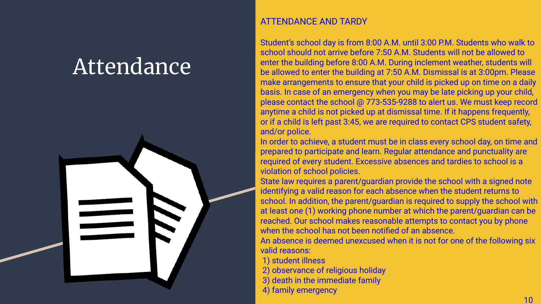# Attendance



### ATTENDANCE AND TARDY

Student's school day is from 8:00 A.M. until 3:00 P.M. Students who walk to school should not arrive before 7:50 A.M. Students will not be allowed to enter the building before 8:00 A.M. During inclement weather, students will be allowed to enter the building at 7:50 A.M. Dismissal is at 3:00pm. Please make arrangements to ensure that your child is picked up on time on a daily basis. In case of an emergency when you may be late picking up your child, please contact the school @ 773-535-9288 to alert us. We must keep record anytime a child is not picked up at dismissal time. If it happens frequently, or if a child is left past 3:45, we are required to contact CPS student safety, and/or police.

In order to achieve, a student must be in class every school day, on time and prepared to participate and learn. Regular attendance and punctuality are required of every student. Excessive absences and tardies to school is a violation of school policies.

State law requires a parent/guardian provide the school with a signed note identifying a valid reason for each absence when the student returns to school. In addition, the parent/guardian is required to supply the school with at least one (1) working phone number at which the parent/guardian can be reached. Our school makes reasonable attempts to contact you by phone when the school has not been notified of an absence.

An absence is deemed unexcused when it is not for one of the following six valid reasons:

1) student illness

- 2) observance of religious holiday
- 3) death in the immediate family
- 4) family emergency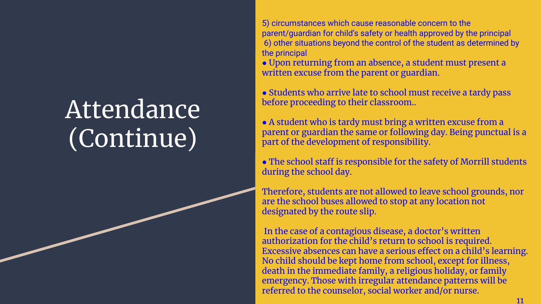# Attendance (Continue)

5) circumstances which cause reasonable concern to the parent/guardian for child's safety or health approved by the principal 6) other situations beyond the control of the student as determined by the principal

● Upon returning from an absence, a student must present a written excuse from the parent or guardian.

• Students who arrive late to school must receive a tardy pass before proceeding to their classroom..

● A student who is tardy must bring a written excuse from a parent or guardian the same or following day. Being punctual is a part of the development of responsibility.

• The school staff is responsible for the safety of Morrill students during the school day.

Therefore, students are not allowed to leave school grounds, nor are the school buses allowed to stop at any location not designated by the route slip.

 In the case of a contagious disease, a doctor's written authorization for the child's return to school is required. Excessive absences can have a serious effect on a child's learning. No child should be kept home from school, except for illness, death in the immediate family, a religious holiday, or family emergency. Those with irregular attendance patterns will be referred to the counselor, social worker and/or nurse.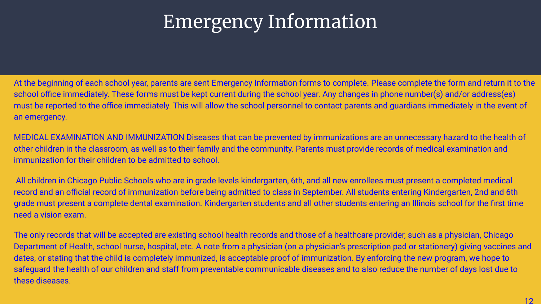# Emergency Information

At the beginning of each school year, parents are sent Emergency Information forms to complete. Please complete the form and return it to the school office immediately. These forms must be kept current during the school year. Any changes in phone number(s) and/or address(es) must be reported to the office immediately. This will allow the school personnel to contact parents and guardians immediately in the event of an emergency.

MEDICAL EXAMINATION AND IMMUNIZATION Diseases that can be prevented by immunizations are an unnecessary hazard to the health of other children in the classroom, as well as to their family and the community. Parents must provide records of medical examination and immunization for their children to be admitted to school.

 All children in Chicago Public Schools who are in grade levels kindergarten, 6th, and all new enrollees must present a completed medical record and an official record of immunization before being admitted to class in September. All students entering Kindergarten, 2nd and 6th grade must present a complete dental examination. Kindergarten students and all other students entering an Illinois school for the first time need a vision exam.

The only records that will be accepted are existing school health records and those of a healthcare provider, such as a physician, Chicago Department of Health, school nurse, hospital, etc. A note from a physician (on a physician's prescription pad or stationery) giving vaccines and dates, or stating that the child is completely immunized, is acceptable proof of immunization. By enforcing the new program, we hope to safeguard the health of our children and staff from preventable communicable diseases and to also reduce the number of days lost due to these diseases.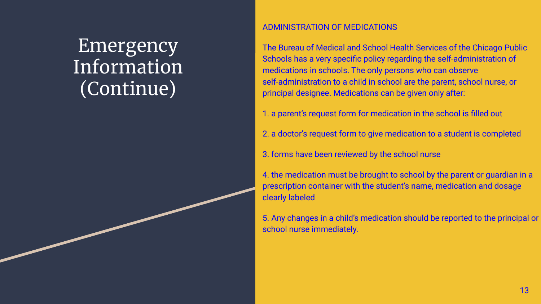## **Emergency** Information (Continue)

### ADMINISTRATION OF MEDICATIONS

The Bureau of Medical and School Health Services of the Chicago Public Schools has a very specific policy regarding the self-administration of medications in schools. The only persons who can observe self-administration to a child in school are the parent, school nurse, or principal designee. Medications can be given only after:

1. a parent's request form for medication in the school is filled out

2. a doctor's request form to give medication to a student is completed

3. forms have been reviewed by the school nurse

4. the medication must be brought to school by the parent or guardian in a prescription container with the student's name, medication and dosage clearly labeled

5. Any changes in a child's medication should be reported to the principal or school nurse immediately.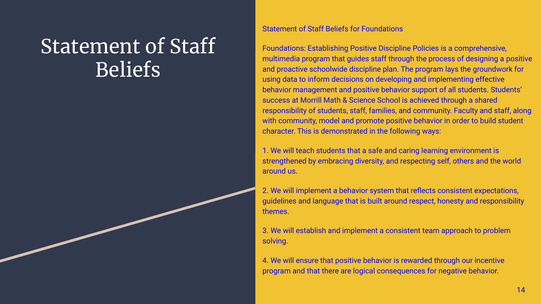# Statement of Staff Beliefs

#### Statement of Staff Beliefs for Foundations

Foundations: Establishing Positive Discipline Policies is a comprehensive, multimedia program that guides staff through the process of designing a positive and proactive schoolwide discipline plan. The program lays the groundwork for using data to inform decisions on developing and implementing effective behavior management and positive behavior support of all students. Students' success at Morrill Math & Science School is achieved through a shared responsibility of students, staff, families, and community. Faculty and staff, along with community, model and promote positive behavior in order to build student character. This is demonstrated in the following ways:

1. We will teach students that a safe and caring learning environment is strengthened by embracing diversity, and respecting self, others and the world around us.

2. We will implement a behavior system that reflects consistent expectations, guidelines and language that is built around respect, honesty and responsibility themes.

3. We will establish and implement a consistent team approach to problem solving.

4. We will ensure that positive behavior is rewarded through our incentive program and that there are logical consequences for negative behavior.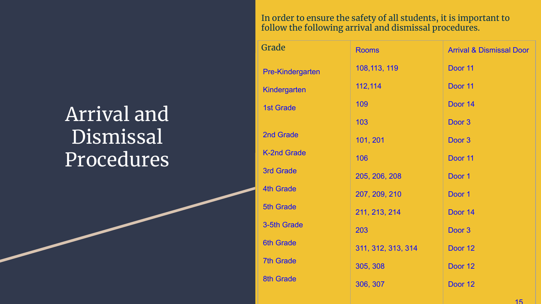# Arrival and **Dismissal** Procedures<sup>'</sup>

In order to ensure the safety of all students, it is important to follow the following arrival and dismissal procedures.

| Grade                   | <b>Rooms</b>       | <b>Arrival &amp; Dismissal Door</b> |
|-------------------------|--------------------|-------------------------------------|
| <b>Pre-Kindergarten</b> | 108, 113, 119      | Door 11                             |
| Kindergarten            | 112,114            | Door 11                             |
| <b>1st Grade</b>        | 109                | Door 14                             |
|                         | 103                | Door <sub>3</sub>                   |
| 2nd Grade               | 101, 201           | Door <sub>3</sub>                   |
| <b>K-2nd Grade</b>      | 106                | Door 11                             |
| <b>3rd Grade</b>        | 205, 206, 208      | Door 1                              |
| <b>4th Grade</b>        | 207, 209, 210      | Door 1                              |
| <b>5th Grade</b>        | 211, 213, 214      | Door 14                             |
| 3-5th Grade             | 203                | Door 3                              |
| <b>6th Grade</b>        | 311, 312, 313, 314 | Door 12                             |
| <b>7th Grade</b>        | 305, 308           | Door 12                             |
| <b>8th Grade</b>        | 306, 307           | Door 12                             |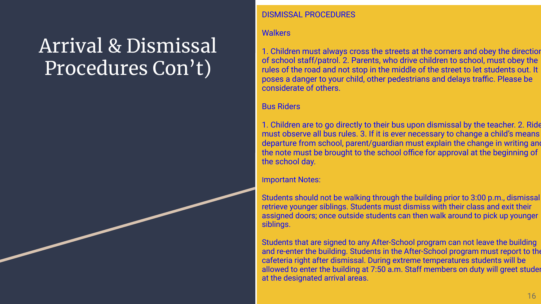# Arrival & Dismissal Procedures Con't)

### DISMISSAL PROCEDURES

### **Walkers**

1. Children must always cross the streets at the corners and obey the direction of school staff/patrol. 2. Parents, who drive children to school, must obey the rules of the road and not stop in the middle of the street to let students out. It poses a danger to your child, other pedestrians and delays traffic. Please be considerate of others.

### Bus Riders

1. Children are to go directly to their bus upon dismissal by the teacher. 2. Ride must observe all bus rules. 3. If it is ever necessary to change a child's means departure from school, parent/guardian must explain the change in writing and the note must be brought to the school office for approval at the beginning of the school day.

#### Important Notes:

Students should not be walking through the building prior to 3:00 p.m., dismissal retrieve younger siblings. Students must dismiss with their class and exit their assigned doors; once outside students can then walk around to pick up younger siblings.

Students that are signed to any After-School program can not leave the building and re-enter the building. Students in the After-School program must report to the cafeteria right after dismissal. During extreme temperatures students will be allowed to enter the building at 7:50 a.m. Staff members on duty will greet students at the designated arrival areas.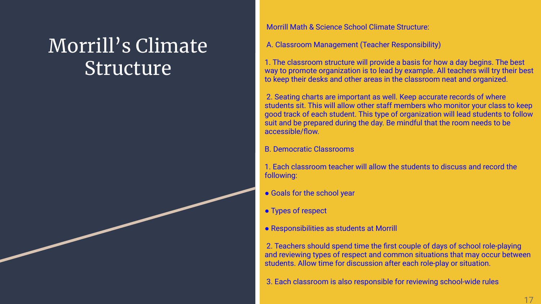# Morrill's Climate Structure

Morrill Math & Science School Climate Structure:

A. Classroom Management (Teacher Responsibility)

1. The classroom structure will provide a basis for how a day begins. The best way to promote organization is to lead by example. All teachers will try their best to keep their desks and other areas in the classroom neat and organized.

 2. Seating charts are important as well. Keep accurate records of where students sit. This will allow other staff members who monitor your class to keep good track of each student. This type of organization will lead students to follow suit and be prepared during the day. Be mindful that the room needs to be accessible/flow.

B. Democratic Classrooms

1. Each classroom teacher will allow the students to discuss and record the following:

- Goals for the school year
- Types of respect
- Responsibilities as students at Morrill

 2. Teachers should spend time the first couple of days of school role-playing and reviewing types of respect and common situations that may occur between students. Allow time for discussion after each role-play or situation.

3. Each classroom is also responsible for reviewing school-wide rules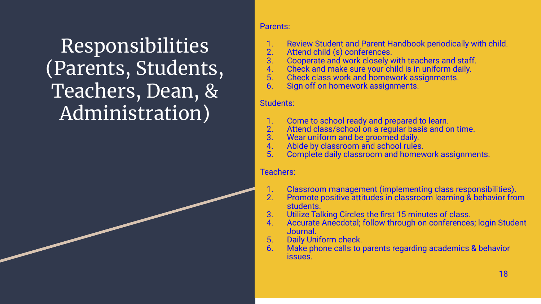# Responsibilities (Parents, Students, Teachers, Dean, & Administration)

### Parents:

- 1. Review Student and Parent Handbook periodically with child.
- 2. Attend child (s) conferences.<br>3. Cooperate and work closely v
- 3. Cooperate and work closely with teachers and staff.<br>4. Check and make sure your child is in uniform daily.
- 4. Check and make sure your child is in uniform daily.<br>5. Check class work and homework assignments.
- 5. Check class work and homework assignments.
- Sign off on homework assignments.

### Students:

- 1. Come to school ready and prepared to learn.<br>2. Attend class/school on a regular basis and o
- 2. Attend class/school on a regular basis and on time.<br>3. Wear uniform and be groomed daily.
- 3. Wear uniform and be groomed daily.
- 4. Abide by classroom and school rules.<br>5. Complete daily classroom and homey
- Complete daily classroom and homework assignments.

### Teachers:

- 1. Classroom management (implementing class responsibilities).<br>2. Promote positive attitudes in classroom learning & behavior fro
- 2. Promote positive attitudes in classroom learning & behavior from students.
- 3. Utilize Talking Circles the first 15 minutes of class.
- 4. Accurate Anecdotal; follow through on conferences; login Student Journal.
- 5. Daily Uniform check.
- Make phone calls to parents regarding academics & behavior issues.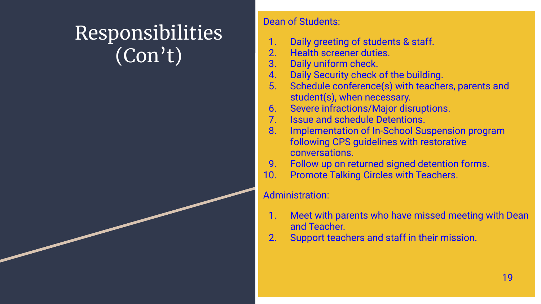# Responsibilities (Con't)

### Dean of Students:

- 1. Daily greeting of students & staff.
- 2. Health screener duties.
- 3. Daily uniform check.
- 4. Daily Security check of the building.
- 5. Schedule conference(s) with teachers, parents and student(s), when necessary.
- 6. Severe infractions/Major disruptions.
- 7. Issue and schedule Detentions.
- 8. Implementation of In-School Suspension program following CPS guidelines with restorative conversations.
- 9. Follow up on returned signed detention forms.
- 10. Promote Talking Circles with Teachers.

### Administration:

- 1. Meet with parents who have missed meeting with Dean and Teacher.
- 2. Support teachers and staff in their mission.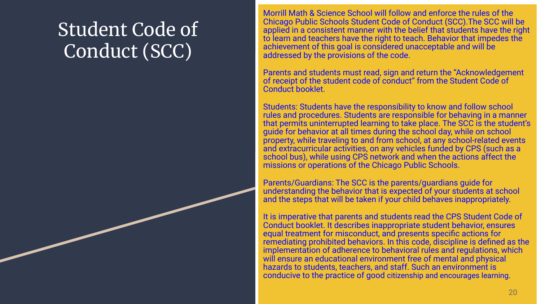# Student Code of Conduct (SCC)

Morrill Math & Science School will follow and enforce the rules of the Chicago Public Schools Student Code of Conduct (SCC).The SCC will be applied in a consistent manner with the belief that students have the right to learn and teachers have the right to teach. Behavior that impedes the achievement of this goal is considered unacceptable and will be addressed by the provisions of the code.

Parents and students must read, sign and return the "Acknowledgement of receipt of the student code of conduct" from the Student Code of Conduct booklet.

Students: Students have the responsibility to know and follow school rules and procedures. Students are responsible for behaving in a manner that permits uninterrupted learning to take place. The SCC is the student's guide for behavior at all times during the school day, while on school property, while traveling to and from school, at any school-related events and extracurricular activities, on any vehicles funded by CPS (such as a school bus), while using CPS network and when the actions affect the missions or operations of the Chicago Public Schools.

Parents/Guardians: The SCC is the parents/guardians guide for understanding the behavior that is expected of your students at school and the steps that will be taken if your child behaves inappropriately.

It is imperative that parents and students read the CPS Student Code of Conduct booklet. It describes inappropriate student behavior, ensures equal treatment for misconduct, and presents specific actions for remediating prohibited behaviors. In this code, discipline is defined as the implementation of adherence to behavioral rules and regulations, which will ensure an educational environment free of mental and physical hazards to students, teachers, and staff. Such an environment is conducive to the practice of good citizenship and encourages learning.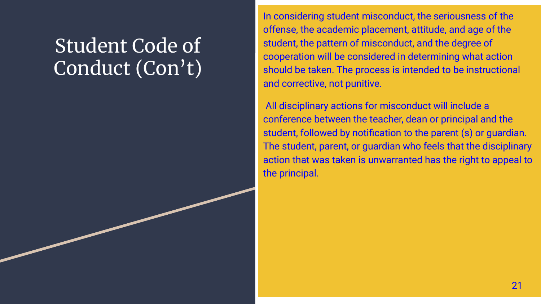# Student Code of Conduct (Con't)

In considering student misconduct, the seriousness of the offense, the academic placement, attitude, and age of the student, the pattern of misconduct, and the degree of cooperation will be considered in determining what action should be taken. The process is intended to be instructional and corrective, not punitive.

 All disciplinary actions for misconduct will include a conference between the teacher, dean or principal and the student, followed by notification to the parent (s) or guardian. The student, parent, or guardian who feels that the disciplinary action that was taken is unwarranted has the right to appeal to the principal.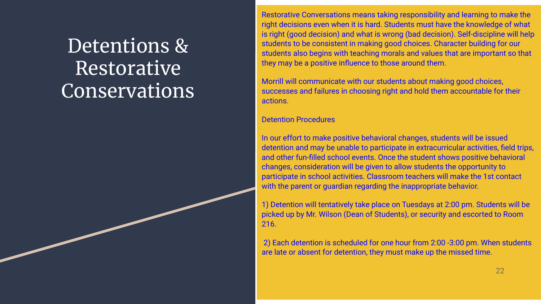# Detentions & Restorative Conservations

Restorative Conversations means taking responsibility and learning to make the right decisions even when it is hard. Students must have the knowledge of what is right (good decision) and what is wrong (bad decision). Self-discipline will help students to be consistent in making good choices. Character building for our students also begins with teaching morals and values that are important so that they may be a positive influence to those around them.

Morrill will communicate with our students about making good choices, successes and failures in choosing right and hold them accountable for their actions.

### Detention Procedures

In our effort to make positive behavioral changes, students will be issued detention and may be unable to participate in extracurricular activities, field trips, and other fun-filled school events. Once the student shows positive behavioral changes, consideration will be given to allow students the opportunity to participate in school activities. Classroom teachers will make the 1st contact with the parent or guardian regarding the inappropriate behavior.

1) Detention will tentatively take place on Tuesdays at 2:00 pm. Students will be picked up by Mr. Wilson (Dean of Students), or security and escorted to Room 216.

 2) Each detention is scheduled for one hour from 2:00 -3:00 pm. When students are late or absent for detention, they must make up the missed time.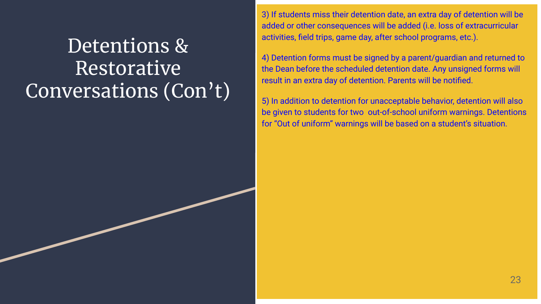# Detentions & Restorative Conversations (Con't)

3) If students miss their detention date, an extra day of detention will be added or other consequences will be added (i.e. loss of extracurricular activities, field trips, game day, after school programs, etc.).

4) Detention forms must be signed by a parent/guardian and returned to the Dean before the scheduled detention date. Any unsigned forms will result in an extra day of detention. Parents will be notified.

5) In addition to detention for unacceptable behavior, detention will also be given to students for two out-of-school uniform warnings. Detentions for "Out of uniform" warnings will be based on a student's situation.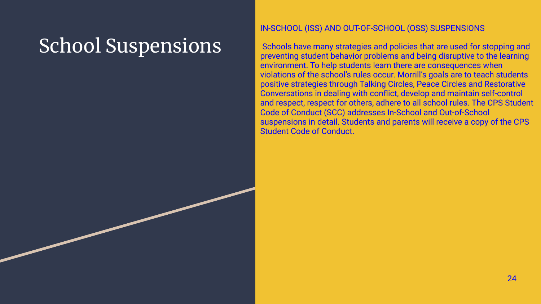# School Suspensions

### IN-SCHOOL (ISS) AND OUT-OF-SCHOOL (OSS) SUSPENSIONS

 Schools have many strategies and policies that are used for stopping and preventing student behavior problems and being disruptive to the learning environment. To help students learn there are consequences when violations of the school's rules occur. Morrill's goals are to teach students positive strategies through Talking Circles, Peace Circles and Restorative Conversations in dealing with conflict, develop and maintain self-control and respect, respect for others, adhere to all school rules. The CPS Student Code of Conduct (SCC) addresses In-School and Out-of-School suspensions in detail. Students and parents will receive a copy of the CPS Student Code of Conduct.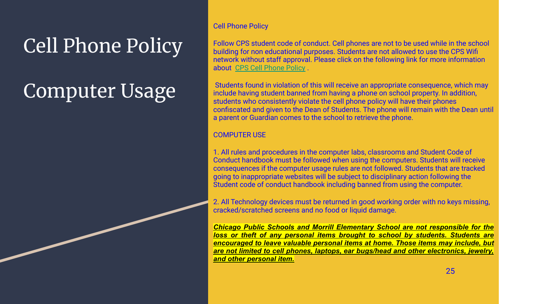# Cell Phone Policy

# Computer Usage

### Cell Phone Policy

Follow CPS student code of conduct. Cell phones are not to be used while in the school building for non educational purposes. Students are not allowed to use the CPS Wifi network without staff approval. Please click on the following link for more information about [CPS Cell Phone Policy](https://docs.google.com/document/d/1UlCzOXEAgbgpB9PbHC4BXU-zQDQZ_BqbS8U4MYvuxxY/edit) .

 Students found in violation of this will receive an appropriate consequence, which may include having student banned from having a phone on school property. In addition, students who consistently violate the cell phone policy will have their phones confiscated and given to the Dean of Students. The phone will remain with the Dean until a parent or Guardian comes to the school to retrieve the phone.

### COMPUTER USE

1. All rules and procedures in the computer labs, classrooms and Student Code of Conduct handbook must be followed when using the computers. Students will receive consequences if the computer usage rules are not followed. Students that are tracked going to inappropriate websites will be subject to disciplinary action following the Student code of conduct handbook including banned from using the computer.

2. All Technology devices must be returned in good working order with no keys missing, cracked/scratched screens and no food or liquid damage.

*Chicago Public Schools and Morrill Elementary School are not responsible for the loss or theft of any personal items brought to school by students. Students are encouraged to leave valuable personal items at home. Those items may include, but are not limited to cell phones, laptops, ear bugs/head and other electronics, jewelry, and other personal item.*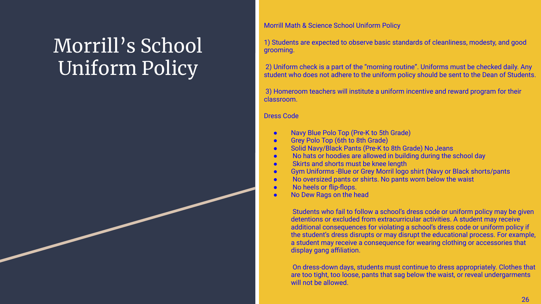# Morrill's School Uniform Policy

Morrill Math & Science School Uniform Policy

1) Students are expected to observe basic standards of cleanliness, modesty, and good grooming.

 2) Uniform check is a part of the "morning routine". Uniforms must be checked daily. Any student who does not adhere to the uniform policy should be sent to the Dean of Students.

 3) Homeroom teachers will institute a uniform incentive and reward program for their classroom.

Dress Code

- Navy Blue Polo Top (Pre-K to 5th Grade)
- Grey Polo Top (6th to 8th Grade)
- Solid Navy/Black Pants (Pre-K to 8th Grade) No Jeans
- No hats or hoodies are allowed in building during the school day
- Skirts and shorts must be knee length
- Gym Uniforms -Blue or Grey Morril logo shirt (Navy or Black shorts/pants
- No oversized pants or shirts. No pants worn below the waist
- No heels or flip-flops.
- No Dew Rags on the head

 Students who fail to follow a school's dress code or uniform policy may be given detentions or excluded from extracurricular activities. A student may receive additional consequences for violating a school's dress code or uniform policy if the student's dress disrupts or may disrupt the educational process. For example, a student may receive a consequence for wearing clothing or accessories that display gang affiliation.

 On dress-down days, students must continue to dress appropriately. Clothes that are too tight, too loose, pants that sag below the waist, or reveal undergarments will not be allowed.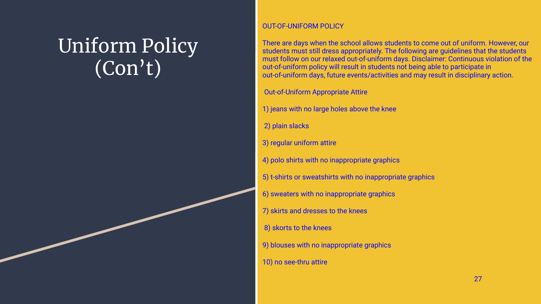# Uniform Policy (Con't)

### OUT-OF-UNIFORM POLICY

There are days when the school allows students to come out of uniform. However, our students must still dress appropriately. The following are guidelines that the students must follow on our relaxed out-of-uniform days. Disclaimer: Continuous violation of the out-of-uniform policy will result in students not being able to participate in out-of-uniform days, future events/activities and may result in disciplinary action.

Out-of-Uniform Appropriate Attire

- 1) jeans with no large holes above the knee
- 2) plain slacks
- 3) regular uniform attire
- 4) polo shirts with no inappropriate graphics
- 5) t-shirts or sweatshirts with no inappropriate graphics
- 6) sweaters with no inappropriate graphics
- 7) skirts and dresses to the knees
- 8) skorts to the knees
- 9) blouses with no inappropriate graphics
- 10) no see-thru attire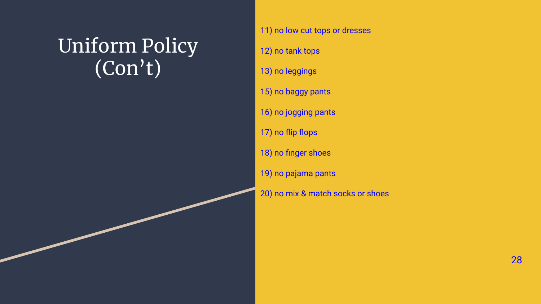# Uniform Policy (Con't)

### 11) no low cut tops or dresses

- 12) no tank tops
- 13) no leggings
- 15) no baggy pants
- 16) no jogging pants
- 17) no flip flops
- 18) no finger shoes
- 19) no pajama pants
- 20) no mix & match socks or shoes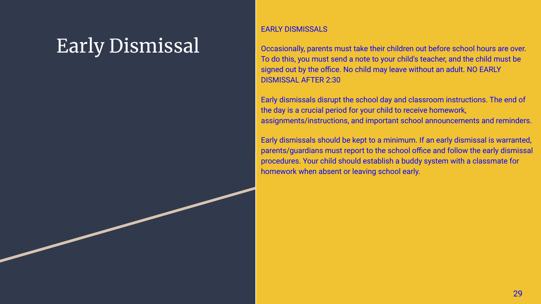# Early Dismissal

### EARLY DISMISSALS

Occasionally, parents must take their children out before school hours are over. To do this, you must send a note to your child's teacher, and the child must be signed out by the office. No child may leave without an adult. NO EARLY DISMISSAL AFTER 2:30

Early dismissals disrupt the school day and classroom instructions. The end of the day is a crucial period for your child to receive homework, assignments/instructions, and important school announcements and reminders.

Early dismissals should be kept to a minimum. If an early dismissal is warranted, parents/guardians must report to the school office and follow the early dismissal procedures. Your child should establish a buddy system with a classmate for homework when absent or leaving school early.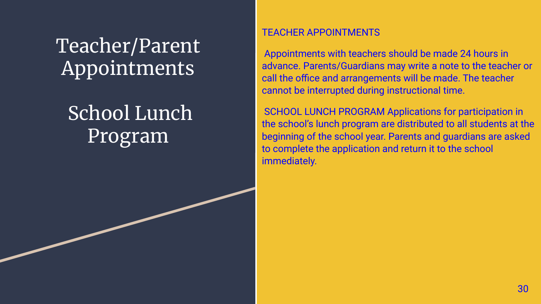Teacher/Parent Appointments

# School Lunch Program

### TEACHER APPOINTMENTS

 Appointments with teachers should be made 24 hours in advance. Parents/Guardians may write a note to the teacher or call the office and arrangements will be made. The teacher cannot be interrupted during instructional time.

 SCHOOL LUNCH PROGRAM Applications for participation in the school's lunch program are distributed to all students at the beginning of the school year. Parents and guardians are asked to complete the application and return it to the school immediately.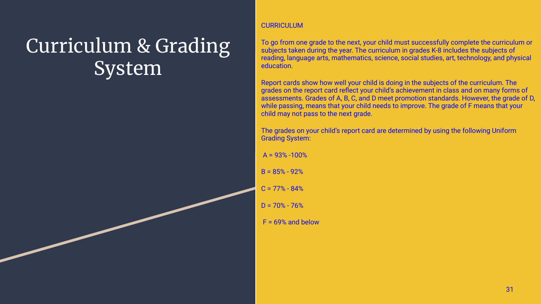# Curriculum & Grading System

#### **CURRICULUM**

To go from one grade to the next, your child must successfully complete the curriculum or subjects taken during the year. The curriculum in grades K-8 includes the subjects of reading, language arts, mathematics, science, social studies, art, technology, and physical education.

Report cards show how well your child is doing in the subjects of the curriculum. The grades on the report card reflect your child's achievement in class and on many forms of assessments. Grades of A, B, C, and D meet promotion standards. However, the grade of D, while passing, means that your child needs to improve. The grade of F means that your child may not pass to the next grade.

The grades on your child's report card are determined by using the following Uniform Grading System:

 $A = 93% -100%$ 

- $B = 85% 92%$
- $C = 77\% 84\%$
- $D = 70\% 76\%$
- $F = 69%$  and below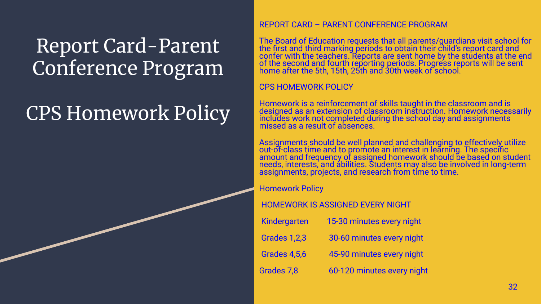# Report Card-Parent Conference Program

# CPS Homework Policy

### REPORT CARD – PARENT CONFERENCE PROGRAM

The Board of Education requests that all parents/guardians visit school for the first and third marking periods to obtain their child's report card and confer with the teachers. Reports are sent home by the students at the end of the second and fourth reporting periods. Progress reports will be sent home after the 5th, 15th, 25th and 30th week of school.

### CPS HOMEWORK POLICY

Homework is a reinforcement of skills taught in the classroom and is designed as an extension of classroom instruction. Homework necessarily includes work not completed during the school day and assignments missed as a result of absences.

Assignments should be well planned and challenging to <u>e</u>ffectivel<u>y</u> utilize out-of-class time and to promote an interest in learning. The specific amount and frequency of assigned homework should be based on student needs, interests, and abilities. Students may also be involved in long-term assignments, projects, and research from time to time.

### Homework Policy

### HOMEWORK IS ASSIGNED EVERY NIGHT

| Kindergarten        | 15-30 minutes every night  |
|---------------------|----------------------------|
| <b>Grades 1,2,3</b> | 30-60 minutes every night  |
| <b>Grades 4,5,6</b> | 45-90 minutes every night  |
| Grades 7,8          | 60-120 minutes every night |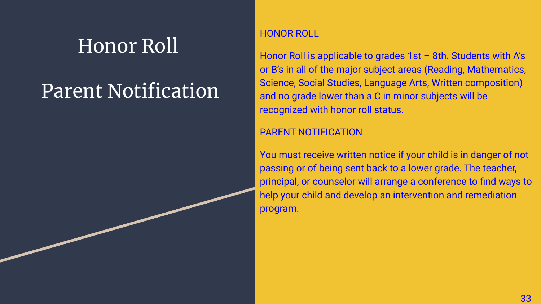# Honor Roll

# Parent Notification

### HONOR ROLL

Honor Roll is applicable to grades 1st - 8th. Students with A's or B's in all of the major subject areas (Reading, Mathematics, Science, Social Studies, Language Arts, Written composition) and no grade lower than a C in minor subjects will be recognized with honor roll status.

### PARENT NOTIFICATION

You must receive written notice if your child is in danger of not passing or of being sent back to a lower grade. The teacher, principal, or counselor will arrange a conference to find ways to help your child and develop an intervention and remediation program.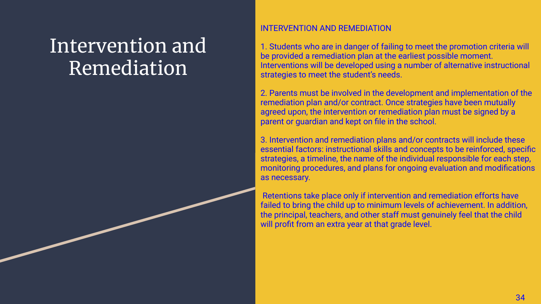# Intervention and Remediation

### INTERVENTION AND REMEDIATION

1. Students who are in danger of failing to meet the promotion criteria will be provided a remediation plan at the earliest possible moment. Interventions will be developed using a number of alternative instructional strategies to meet the student's needs.

2. Parents must be involved in the development and implementation of the remediation plan and/or contract. Once strategies have been mutually agreed upon, the intervention or remediation plan must be signed by a parent or guardian and kept on file in the school.

3. Intervention and remediation plans and/or contracts will include these essential factors: instructional skills and concepts to be reinforced, specific strategies, a timeline, the name of the individual responsible for each step, monitoring procedures, and plans for ongoing evaluation and modifications as necessary.

 Retentions take place only if intervention and remediation efforts have failed to bring the child up to minimum levels of achievement. In addition, the principal, teachers, and other staff must genuinely feel that the child will profit from an extra year at that grade level.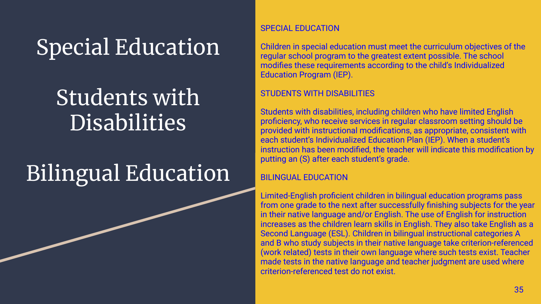# Special Education

# Students with Disabilities

# Bilingual Education

### SPECIAL EDUCATION

Children in special education must meet the curriculum objectives of the regular school program to the greatest extent possible. The school modifies these requirements according to the child's Individualized Education Program (IEP).

### STUDENTS WITH DISABILITIES

Students with disabilities, including children who have limited English proficiency, who receive services in regular classroom setting should be provided with instructional modifications, as appropriate, consistent with each student's Individualized Education Plan (IEP). When a student's instruction has been modified, the teacher will indicate this modification by putting an (S) after each student's grade.

### BILINGUAL EDUCATION

Limited-English proficient children in bilingual education programs pass from one grade to the next after successfully finishing subjects for the year in their native language and/or English. The use of English for instruction increases as the children learn skills in English. They also take English as a Second Language (ESL). Children in bilingual instructional categories A and B who study subjects in their native language take criterion-referenced (work related) tests in their own language where such tests exist. Teacher made tests in the native language and teacher judgment are used where criterion-referenced test do not exist.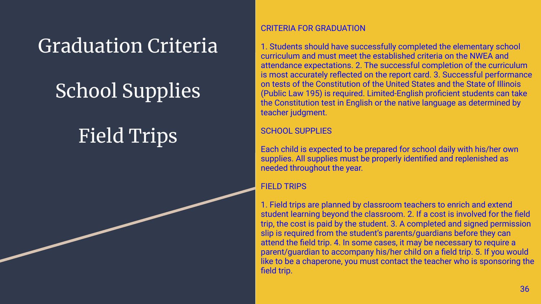# Graduation Criteria

# School Supplies

# Field Trips

### CRITERIA FOR GRADUATION

1. Students should have successfully completed the elementary school curriculum and must meet the established criteria on the NWEA and attendance expectations. 2. The successful completion of the curriculum is most accurately reflected on the report card. 3. Successful performance on tests of the Constitution of the United States and the State of Illinois (Public Law 195) is required. Limited-English proficient students can take the Constitution test in English or the native language as determined by teacher judgment.

### SCHOOL SUPPLIES

Each child is expected to be prepared for school daily with his/her own supplies. All supplies must be properly identified and replenished as needed throughout the year.

### **FIELD TRIPS**

1. Field trips are planned by classroom teachers to enrich and extend student learning beyond the classroom. 2. If a cost is involved for the field trip, the cost is paid by the student. 3. A completed and signed permission slip is required from the student's parents/guardians before they can attend the field trip. 4. In some cases, it may be necessary to require a parent/guardian to accompany his/her child on a field trip. 5. If you would like to be a chaperone, you must contact the teacher who is sponsoring the field trip.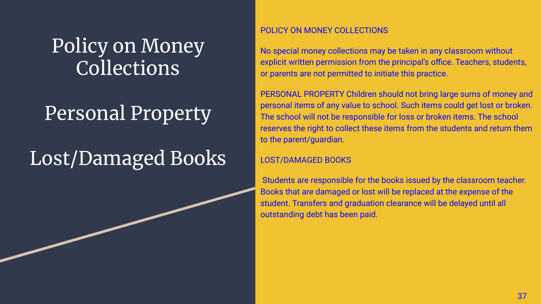# Policy on Money Collections

# Personal Property

# Lost/Damaged Books

### POLICY ON MONEY COLLECTIONS

No special money collections may be taken in any classroom without explicit written permission from the principal's office. Teachers, students, or parents are not permitted to initiate this practice.

PERSONAL PROPERTY Children should not bring large sums of money and personal items of any value to school. Such items could get lost or broken. The school will not be responsible for loss or broken items. The school reserves the right to collect these items from the students and return them to the parent/guardian.

### LOST/DAMAGED BOOKS

 Students are responsible for the books issued by the classroom teacher. Books that are damaged or lost will be replaced at the expense of the student. Transfers and graduation clearance will be delayed until all outstanding debt has been paid.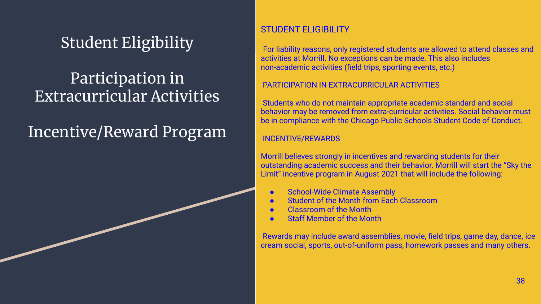### Student Eligibility

### Participation in Extracurricular Activities

### Incentive/Reward Program

### STUDENT ELIGIBILITY

For liability reasons, only registered students are allowed to attend classes and activities at Morrill. No exceptions can be made. This also includes non-academic activities (field trips, sporting events, etc.)

### PARTICIPATION IN EXTRACURRICULAR ACTIVITIES

 Students who do not maintain appropriate academic standard and social behavior may be removed from extra-curricular activities. Social behavior must be in compliance with the Chicago Public Schools Student Code of Conduct.

### INCENTIVE/REWARDS

Morrill believes strongly in incentives and rewarding students for their outstanding academic success and their behavior. Morrill will start the "Sky the Limit" incentive program in August 2021 that will include the following:

- School-Wide Climate Assembly
- **Student of the Month from Each Classroom**
- Classroom of the Month
- **Staff Member of the Month**

 Rewards may include award assemblies, movie, field trips, game day, dance, ice cream social, sports, out-of-uniform pass, homework passes and many others.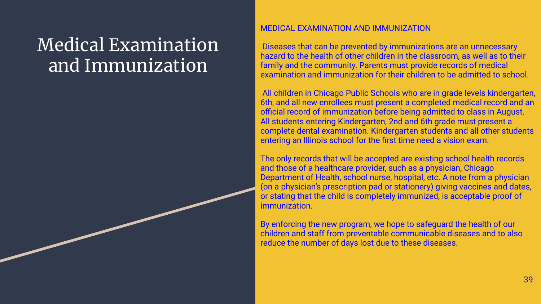## Medical Examination and Immunization

### MEDICAL EXAMINATION AND IMMUNIZATION

 Diseases that can be prevented by immunizations are an unnecessary hazard to the health of other children in the classroom, as well as to their family and the community. Parents must provide records of medical examination and immunization for their children to be admitted to school.

 All children in Chicago Public Schools who are in grade levels kindergarten, 6th, and all new enrollees must present a completed medical record and an official record of immunization before being admitted to class in August. All students entering Kindergarten, 2nd and 6th grade must present a complete dental examination. Kindergarten students and all other students entering an Illinois school for the first time need a vision exam.

The only records that will be accepted are existing school health records and those of a healthcare provider, such as a physician, Chicago Department of Health, school nurse, hospital, etc. A note from a physician (on a physician's prescription pad or stationery) giving vaccines and dates, or stating that the child is completely immunized, is acceptable proof of immunization.

By enforcing the new program, we hope to safeguard the health of our children and staff from preventable communicable diseases and to also reduce the number of days lost due to these diseases.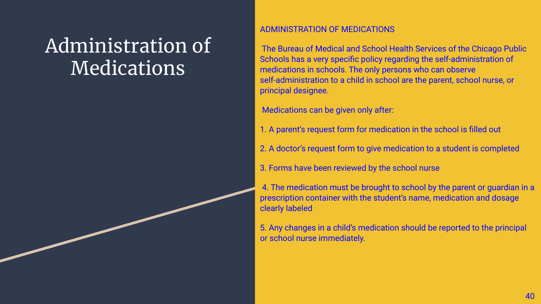# Administration of **Medications**

### ADMINISTRATION OF MEDICATIONS

 The Bureau of Medical and School Health Services of the Chicago Public Schools has a very specific policy regarding the self-administration of medications in schools. The only persons who can observe self-administration to a child in school are the parent, school nurse, or principal designee.

Medications can be given only after:

- 1. A parent's request form for medication in the school is filled out
- 2. A doctor's request form to give medication to a student is completed
- 3. Forms have been reviewed by the school nurse

 4. The medication must be brought to school by the parent or guardian in a prescription container with the student's name, medication and dosage clearly labeled

5. Any changes in a child's medication should be reported to the principal or school nurse immediately.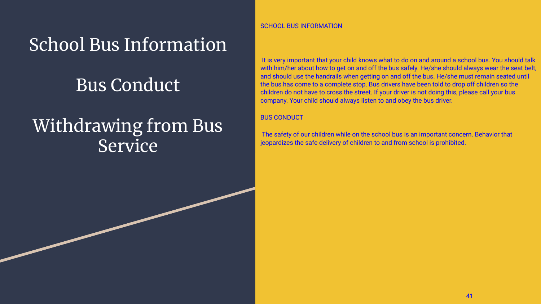## School Bus Information

### Bus Conduct

## Withdrawing from Bus Service

SCHOOL BUS INFORMATION

 It is very important that your child knows what to do on and around a school bus. You should talk with him/her about how to get on and off the bus safely. He/she should always wear the seat belt, and should use the handrails when getting on and off the bus. He/she must remain seated until the bus has come to a complete stop. Bus drivers have been told to drop off children so the children do not have to cross the street. If your driver is not doing this, please call your bus company. Your child should always listen to and obey the bus driver.

#### BUS CONDUCT

 The safety of our children while on the school bus is an important concern. Behavior that jeopardizes the safe delivery of children to and from school is prohibited.